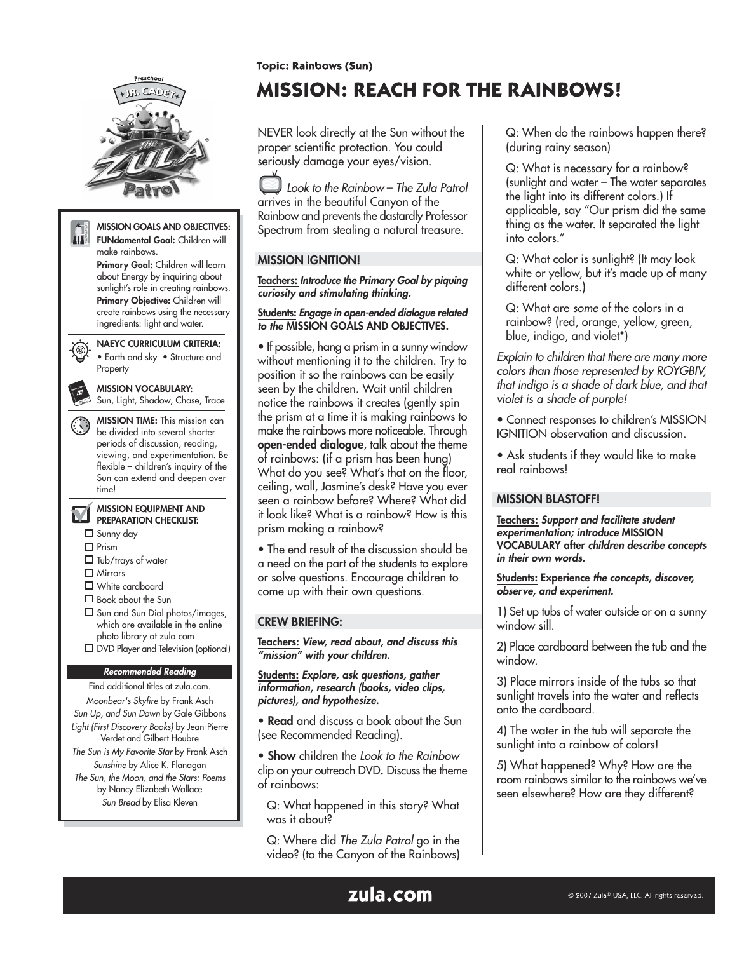

Sun Bread by Elisa Kleven

**Topic: Rainbows (Sun)** 

# **MISSION: REACH FOR THE RAINBOWS!**

NEVER look directly at the Sun without the proper scientific protection. You could seriously damage your eyes/vision.

Look to the Rainbow – The Zula Patrol arrives in the beautiful Canyon of the Rainbow and prevents the dastardly Professor Spectrum from stealing a natural treasure.

# MISSION IGNITION!

Teachers: Introduce the Primary Goal by piquing curiosity and stimulating thinking.

#### Students: Engage in open-ended dialogue related to the MISSION GOALS AND OBJECTIVES.

• If possible, hang a prism in a sunny window without mentioning it to the children. Try to position it so the rainbows can be easily seen by the children. Wait until children notice the rainbows it creates (gently spin the prism at a time it is making rainbows to make the rainbows more noticeable. Through open-ended dialogue, talk about the theme of rainbows: (if a prism has been hung) What do you see? What's that on the floor, ceiling, wall, Jasmine's desk? Have you ever seen a rainbow before? Where? What did it look like? What is a rainbow? How is this prism making a rainbow?

• The end result of the discussion should be a need on the part of the students to explore or solve questions. Encourage children to come up with their own questions.

## CREW BRIEFING:

Teachers: View, read about, and discuss this "mission" with your children.

Students: Explore, ask questions, gather information, research (books, video clips, pictures), and hypothesize.

• Read and discuss a book about the Sun (see Recommended Reading).

• Show children the Look to the Rainbow clip on your outreach DVD. Discuss the theme of rainbows:

Q: What happened in this story? What was it about?

Q: Where did The Zula Patrol go in the video? (to the Canyon of the Rainbows) Q: When do the rainbows happen there? (during rainy season)

Q: What is necessary for a rainbow? (sunlight and water – The water separates the light into its different colors.) If applicable, say "Our prism did the same thing as the water. It separated the light into colors."

Q: What color is sunlight? (It may look white or yellow, but it's made up of many different colors.)

Q: What are some of the colors in a rainbow? (red, orange, yellow, green, blue, indigo, and violet\*)

Explain to children that there are many more colors than those represented by ROYGBIV, that indigo is a shade of dark blue, and that violet is a shade of purple!

- Connect responses to children's MISSION IGNITION observation and discussion.
- Ask students if they would like to make real rainbows!

## MISSION BLASTOFF!

Teachers: Support and facilitate student experimentation; introduce MISSION VOCABULARY after children describe concepts in their own words.

Students: Experience the concepts, discover, observe, and experiment.

1) Set up tubs of water outside or on a sunny window sill.

2) Place cardboard between the tub and the window.

3) Place mirrors inside of the tubs so that sunlight travels into the water and reflects onto the cardboard.

4) The water in the tub will separate the sunlight into a rainbow of colors!

5) What happened? Why? How are the room rainbows similar to the rainbows we've seen elsewhere? How are they different?